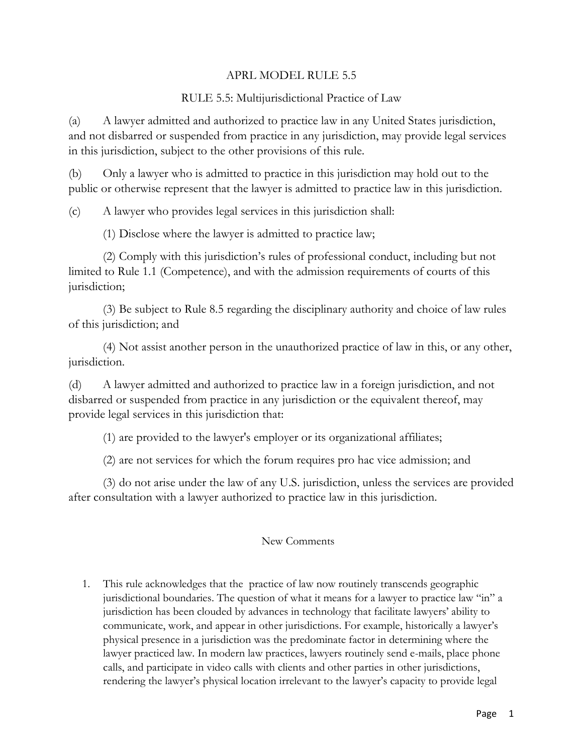## APRL MODEL RULE 5.5

## RULE 5.5: Multijurisdictional Practice of Law

(a) A lawyer admitted and authorized to practice law in any United States jurisdiction, and not disbarred or suspended from practice in any jurisdiction, may provide legal services in this jurisdiction, subject to the other provisions of this rule.

(b) Only a lawyer who is admitted to practice in this jurisdiction may hold out to the public or otherwise represent that the lawyer is admitted to practice law in this jurisdiction.

(c) A lawyer who provides legal services in this jurisdiction shall:

(1) Disclose where the lawyer is admitted to practice law;

(2) Comply with this jurisdiction's rules of professional conduct, including but not limited to Rule 1.1 (Competence), and with the admission requirements of courts of this jurisdiction;

(3) Be subject to Rule 8.5 regarding the disciplinary authority and choice of law rules of this jurisdiction; and

(4) Not assist another person in the unauthorized practice of law in this, or any other, jurisdiction.

(d) A lawyer admitted and authorized to practice law in a foreign jurisdiction, and not disbarred or suspended from practice in any jurisdiction or the equivalent thereof, may provide legal services in this jurisdiction that:

(1) are provided to the lawyer's employer or its organizational affiliates;

(2) are not services for which the forum requires pro hac vice admission; and

(3) do not arise under the law of any U.S. jurisdiction, unless the services are provided after consultation with a lawyer authorized to practice law in this jurisdiction.

## New Comments

1. This rule acknowledges that the practice of law now routinely transcends geographic jurisdictional boundaries. The question of what it means for a lawyer to practice law "in" a jurisdiction has been clouded by advances in technology that facilitate lawyers' ability to communicate, work, and appear in other jurisdictions. For example, historically a lawyer's physical presence in a jurisdiction was the predominate factor in determining where the lawyer practiced law. In modern law practices, lawyers routinely send e-mails, place phone calls, and participate in video calls with clients and other parties in other jurisdictions, rendering the lawyer's physical location irrelevant to the lawyer's capacity to provide legal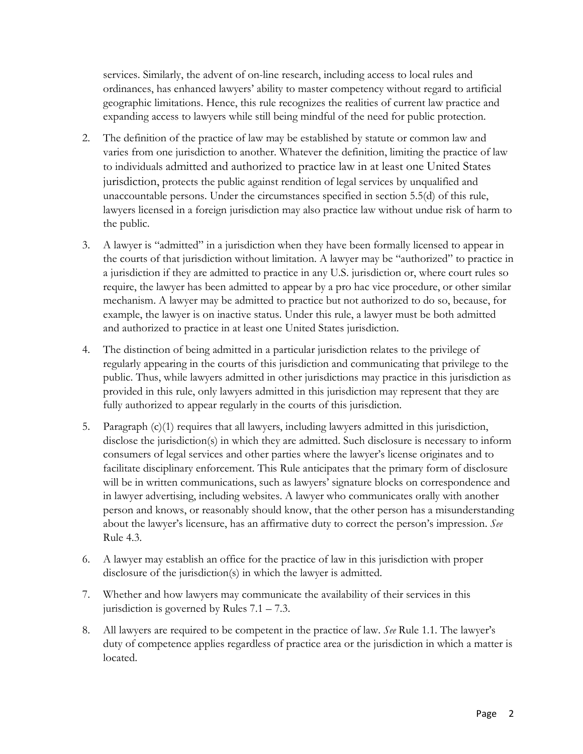services. Similarly, the advent of on-line research, including access to local rules and ordinances, has enhanced lawyers' ability to master competency without regard to artificial geographic limitations. Hence, this rule recognizes the realities of current law practice and expanding access to lawyers while still being mindful of the need for public protection.

- 2. The definition of the practice of law may be established by statute or common law and varies from one jurisdiction to another. Whatever the definition, limiting the practice of law to individuals admitted and authorized to practice law in at least one United States jurisdiction, protects the public against rendition of legal services by unqualified and unaccountable persons. Under the circumstances specified in section 5.5(d) of this rule, lawyers licensed in a foreign jurisdiction may also practice law without undue risk of harm to the public.
- 3. A lawyer is "admitted" in a jurisdiction when they have been formally licensed to appear in the courts of that jurisdiction without limitation. A lawyer may be "authorized" to practice in a jurisdiction if they are admitted to practice in any U.S. jurisdiction or, where court rules so require, the lawyer has been admitted to appear by a pro hac vice procedure, or other similar mechanism. A lawyer may be admitted to practice but not authorized to do so, because, for example, the lawyer is on inactive status. Under this rule, a lawyer must be both admitted and authorized to practice in at least one United States jurisdiction.
- 4. The distinction of being admitted in a particular jurisdiction relates to the privilege of regularly appearing in the courts of this jurisdiction and communicating that privilege to the public. Thus, while lawyers admitted in other jurisdictions may practice in this jurisdiction as provided in this rule, only lawyers admitted in this jurisdiction may represent that they are fully authorized to appear regularly in the courts of this jurisdiction.
- 5. Paragraph (c)(1) requires that all lawyers, including lawyers admitted in this jurisdiction, disclose the jurisdiction(s) in which they are admitted. Such disclosure is necessary to inform consumers of legal services and other parties where the lawyer's license originates and to facilitate disciplinary enforcement. This Rule anticipates that the primary form of disclosure will be in written communications, such as lawyers' signature blocks on correspondence and in lawyer advertising, including websites. A lawyer who communicates orally with another person and knows, or reasonably should know, that the other person has a misunderstanding about the lawyer's licensure, has an affirmative duty to correct the person's impression. *See*  Rule 4.3.
- 6. A lawyer may establish an office for the practice of law in this jurisdiction with proper disclosure of the jurisdiction(s) in which the lawyer is admitted.
- 7. Whether and how lawyers may communicate the availability of their services in this jurisdiction is governed by Rules 7.1 – 7.3.
- 8. All lawyers are required to be competent in the practice of law. *See* Rule 1.1. The lawyer's duty of competence applies regardless of practice area or the jurisdiction in which a matter is located.